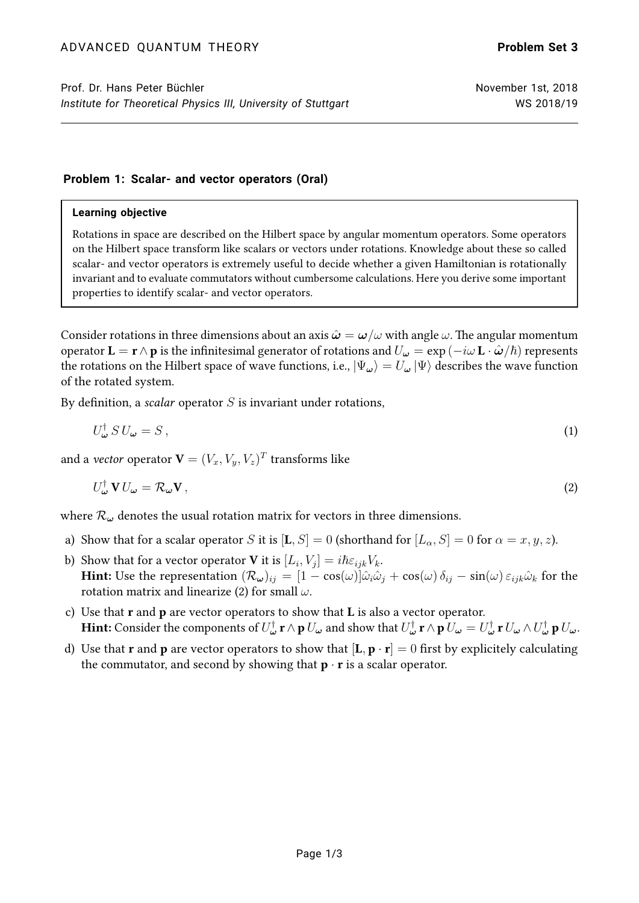## **Problem 1: Scalar- and vector operators (Oral)**

### **Learning objective**

Rotations in space are described on the Hilbert space by angular momentum operators. Some operators on the Hilbert space transform like scalars or vectors under rotations. Knowledge about these so called scalar- and vector operators is extremely useful to decide whether a given Hamiltonian is rotationally invariant and to evaluate commutators without cumbersome calculations. Here you derive some important properties to identify scalar- and vector operators.

Consider rotations in three dimensions about an axis  $\hat{\omega} = \omega/\omega$  with angle  $\omega$ . The angular momentum operator  $\mathbf{L} = \mathbf{r} \wedge \mathbf{p}$  is the infinitesimal generator of rotations and  $U_{\omega} = \exp(-i\omega \mathbf{L} \cdot \hat{\boldsymbol{\omega}}/\hbar)$  represents the rotations on the Hilbert space of wave functions, i.e.,  $|\Psi_{\omega}\rangle = U_{\omega} |\Psi\rangle$  describes the wave function of the rotated system.

By definition, a *scalar* operator  $S$  is invariant under rotations,

<span id="page-0-0"></span>
$$
U_{\omega}^{\dagger} S U_{\omega} = S \,, \tag{1}
$$

and a *vector* operator  $\mathbf{V}=(V_x,V_y,V_z)^T$  transforms like

$$
U_{\omega}^{\dagger} \mathbf{V} U_{\omega} = \mathcal{R}_{\omega} \mathbf{V},\tag{2}
$$

where  $\mathcal{R}_{\omega}$  denotes the usual rotation matrix for vectors in three dimensions.

- a) Show that for a scalar operator S it is  $[L, S] = 0$  (shorthand for  $[L_{\alpha}, S] = 0$  for  $\alpha = x, y, z$ ).
- b) Show that for a vector operator **V** it is  $[L_i, V_j] = i\hbar \varepsilon_{ijk} V_k$ . **Hint:** Use the representation  $(\mathcal{R}_{\omega})_{ij} = [1 - \cos(\omega)]\hat{\omega}_i\hat{\omega}_j + \cos(\omega)\delta_{ij} - \sin(\omega)\epsilon_{ijk}\hat{\omega}_k$  for the rotation matrix and linearize [\(2\)](#page-0-0) for small  $\omega$ .
- c) Use that  $r$  and  $p$  are vector operators to show that  $L$  is also a vector operator. **Hint:** Consider the components of  $U^\dagger_\omega\mathbf{r}\wedge\mathbf{p}$   $U_\omega$  and show that  $U^\dagger_\omega\mathbf{r}\wedge\mathbf{p}$   $U_\omega=U^\dagger_\omega\mathbf{r}$   $U_\omega\wedge U^\dagger_\omega\mathbf{p}$   $U_\omega.$
- d) Use that **r** and **p** are vector operators to show that  $[\mathbf{L}, \mathbf{p} \cdot \mathbf{r}] = 0$  first by explicitely calculating the commutator, and second by showing that  $\mathbf{p} \cdot \mathbf{r}$  is a scalar operator.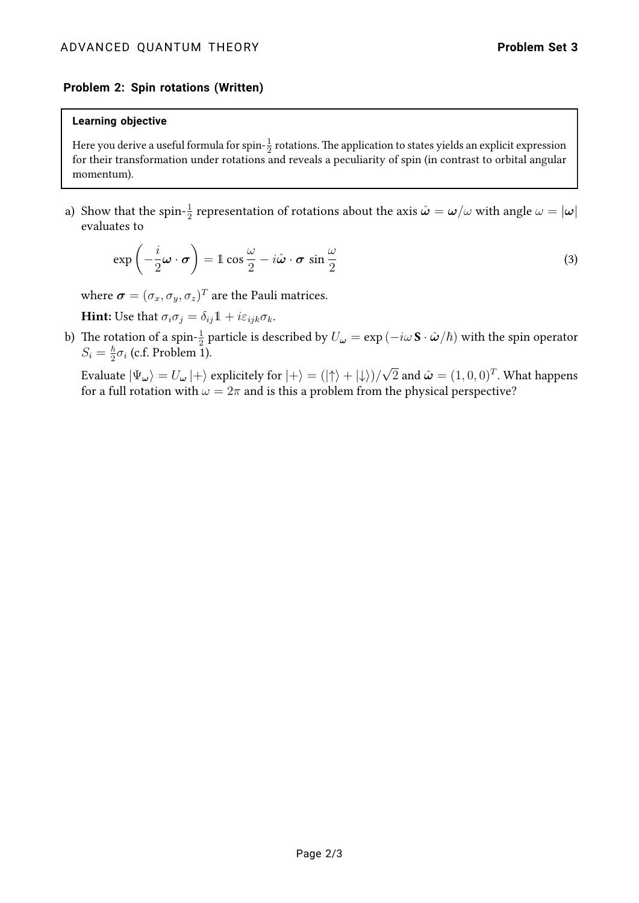## **Problem 2: Spin rotations (Written)**

#### **Learning objective**

Here you derive a useful formula for spin- $\frac{1}{2}$  rotations. The application to states yields an explicit expression for their transformation under rotations and reveals a peculiarity of spin (in contrast to orbital angular momentum).

a) Show that the spin- $\frac{1}{2}$  representation of rotations about the axis  $\hat{\bm{\omega}}=\bm{\omega}/\omega$  with angle  $\omega=|\bm{\omega}|$ evaluates to

$$
\exp\left(-\frac{i}{2}\boldsymbol{\omega}\cdot\boldsymbol{\sigma}\right) = 1\cos\frac{\omega}{2} - i\hat{\boldsymbol{\omega}}\cdot\boldsymbol{\sigma}\sin\frac{\omega}{2}
$$
\n(3)

where  $\boldsymbol{\sigma} = (\sigma_x, \sigma_y, \sigma_z)^T$  are the Pauli matrices.

**Hint:** Use that  $\sigma_i \sigma_j = \delta_{ij} \mathbb{1} + i \varepsilon_{ijk} \sigma_k$ .

b) The rotation of a spin- $\frac{1}{2}$  particle is described by  $U_\omega=\exp{(-i\omega\,\mathbf{S}\cdot\hat{\bm{\omega}}/\hbar)}$  with the spin operator  $S_i = \frac{\hbar}{2}$  $\frac{\hbar}{2}\sigma_i$  (c.f. Problem 1).

Evaluate  $|\Psi_{\bm{\omega}}\rangle=U_{\bm{\omega}}\ket{+}$  explicitely for  $\ket{+}=(\ket{\uparrow}+\ket{\downarrow})/\sqrt{2}$  and  $\hat{\bm{\omega}}=(1,0,0)^T.$  What happens for a full rotation with  $\omega = 2\pi$  and is this a problem from the physical perspective?